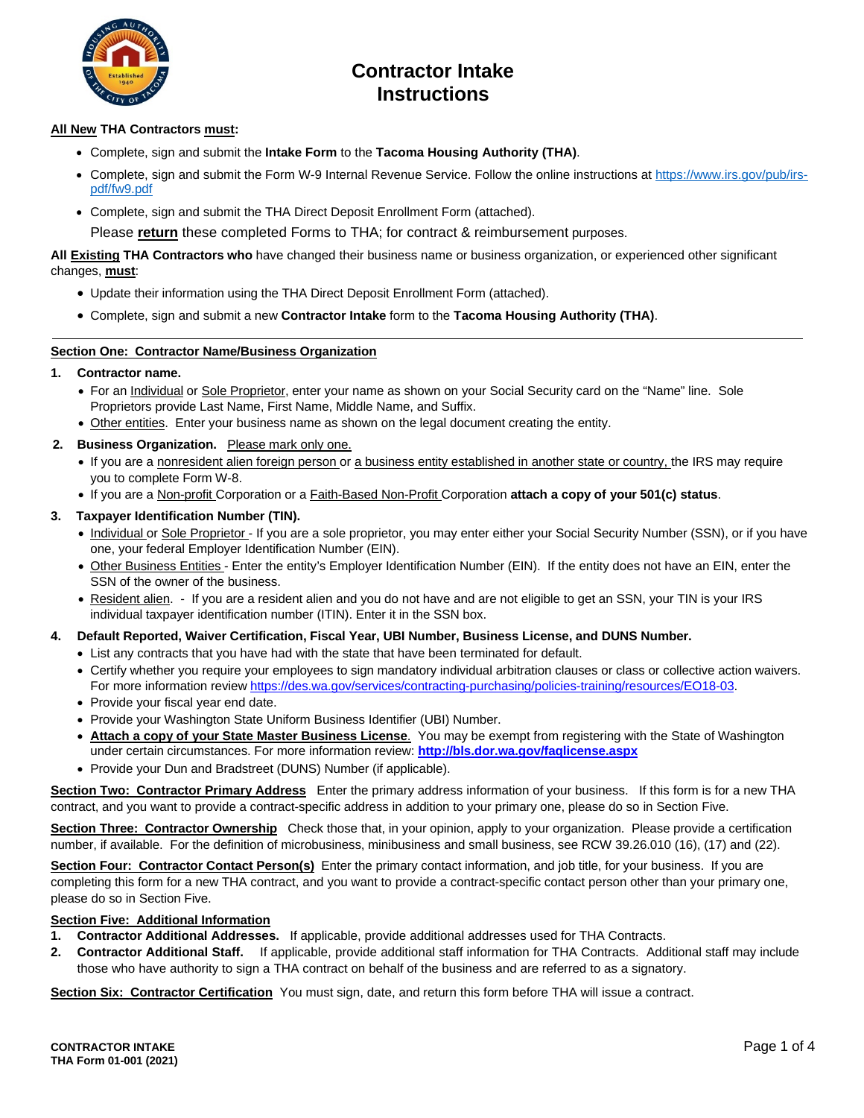

## **Contractor Intake Instructions**

### **All New THA Contractors must:**

- Complete, sign and submit the **Intake Form** to the **Tacoma Housing Authority (THA)**.
- Complete, sign and submit the Form W-9 Internal Revenue Service. Follow the online instructions at [https://www.irs.gov/pub/irs](https://www.irs.gov/pub/irs-pdf/fw9.pdf)[pdf/fw9.pdf](https://www.irs.gov/pub/irs-pdf/fw9.pdf)
- Complete, sign and submit the THA Direct Deposit Enrollment Form (attached).

Please **return** these completed Forms to THA; for contract & reimbursement purposes.

**All Existing THA Contractors who** have changed their business name or business organization, or experienced other significant changes, **must**:

- Update their information using the THA Direct Deposit Enrollment Form (attached).
- Complete, sign and submit a new **Contractor Intake** form to the **Tacoma Housing Authority (THA)**.

#### **Section One: Contractor Name/Business Organization**

#### **1. Contractor name.**

- For an Individual or Sole Proprietor, enter your name as shown on your Social Security card on the "Name" line. Sole Proprietors provide Last Name, First Name, Middle Name, and Suffix.
- Other entities. Enter your business name as shown on the legal document creating the entity.
- **2. Business Organization.** Please mark only one.
	- If you are a nonresident alien foreign person or a business entity established in another state or country, the IRS may require you to complete Form W-8.
	- If you are a Non-profit Corporation or a Faith-Based Non-Profit Corporation **attach a copy of your 501(c) status**.
- **3. Taxpayer Identification Number (TIN).**
	- Individual or Sole Proprietor If you are a sole proprietor, you may enter either your Social Security Number (SSN), or if you have one, your federal Employer Identification Number (EIN).
	- Other Business Entities Enter the entity's Employer Identification Number (EIN). If the entity does not have an EIN, enter the SSN of the owner of the business.
	- Resident alien. If you are a resident alien and you do not have and are not eligible to get an SSN, your TIN is your IRS individual taxpayer identification number (ITIN). Enter it in the SSN box.
- **4. Default Reported, Waiver Certification, Fiscal Year, UBI Number, Business License, and DUNS Number.**
	- List any contracts that you have had with the state that have been terminated for default.
	- Certify whether you require your employees to sign mandatory individual arbitration clauses or class or collective action waivers. For more information review [https://des.wa.gov/services/contracting-purchasing/policies-training/resources/EO18-03.](https://des.wa.gov/services/contracting-purchasing/policies-training/resources/EO18-03)
	- Provide your fiscal year end date.
	- Provide your Washington State Uniform Business Identifier (UBI) Number.
	- **Attach a copy of your State Master Business License**. You may be exempt from registering with the State of Washington under certain circumstances. For more information review: **<http://bls.dor.wa.gov/faqlicense.aspx>**
	- Provide your Dun and Bradstreet (DUNS) Number (if applicable).

**Section Two: Contractor Primary Address** Enter the primary address information of your business. If this form is for a new THA contract, and you want to provide a contract-specific address in addition to your primary one, please do so in Section Five.

**Section Three: Contractor Ownership** Check those that, in your opinion, apply to your organization. Please provide a certification number, if available. For the definition of microbusiness, minibusiness and small business, see RCW 39.26.010 (16), (17) and (22).

**Section Four: Contractor Contact Person(s)** Enter the primary contact information, and job title, for your business. If you are completing this form for a new THA contract, and you want to provide a contract-specific contact person other than your primary one, please do so in Section Five.

#### **Section Five: Additional Information**

- **1. Contractor Additional Addresses.** If applicable, provide additional addresses used for THA Contracts.
- **2. Contractor Additional Staff.** If applicable, provide additional staff information for THA Contracts. Additional staff may include those who have authority to sign a THA contract on behalf of the business and are referred to as a signatory.

**Section Six: Contractor Certification** You must sign, date, and return this form before THA will issue a contract.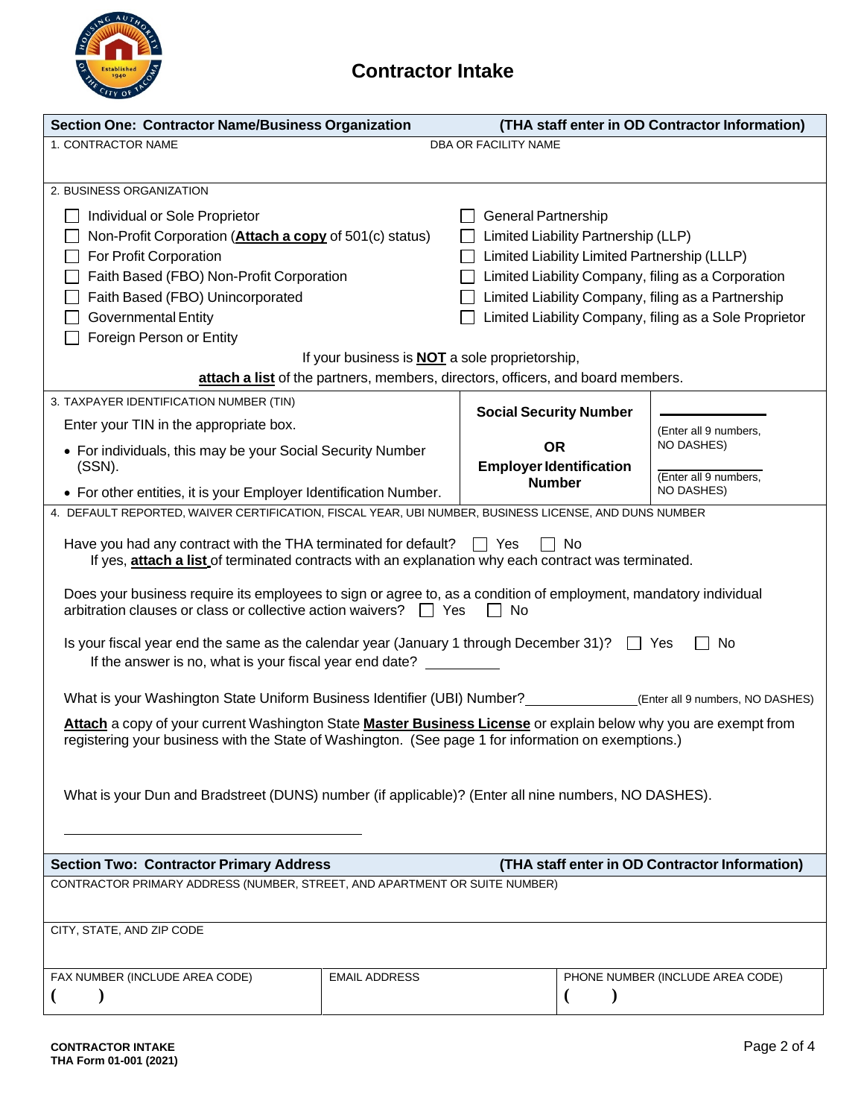

# **Contractor Intake**

| <b>Section One: Contractor Name/Business Organization</b>                                                                                                                        | (THA staff enter in OD Contractor Information)        |                                                    |                                                        |                                            |  |  |
|----------------------------------------------------------------------------------------------------------------------------------------------------------------------------------|-------------------------------------------------------|----------------------------------------------------|--------------------------------------------------------|--------------------------------------------|--|--|
| 1. CONTRACTOR NAME<br>DBA OR FACILITY NAME                                                                                                                                       |                                                       |                                                    |                                                        |                                            |  |  |
|                                                                                                                                                                                  |                                                       |                                                    |                                                        |                                            |  |  |
| 2. BUSINESS ORGANIZATION                                                                                                                                                         |                                                       |                                                    |                                                        |                                            |  |  |
| Individual or Sole Proprietor                                                                                                                                                    |                                                       | <b>General Partnership</b>                         |                                                        |                                            |  |  |
| Non-Profit Corporation (Attach a copy of 501(c) status)                                                                                                                          |                                                       | Limited Liability Partnership (LLP)                |                                                        |                                            |  |  |
| For Profit Corporation                                                                                                                                                           |                                                       | Limited Liability Limited Partnership (LLLP)       |                                                        |                                            |  |  |
| Faith Based (FBO) Non-Profit Corporation                                                                                                                                         |                                                       | Limited Liability Company, filing as a Corporation |                                                        |                                            |  |  |
| Faith Based (FBO) Unincorporated                                                                                                                                                 |                                                       | Limited Liability Company, filing as a Partnership |                                                        |                                            |  |  |
| <b>Governmental Entity</b>                                                                                                                                                       |                                                       |                                                    | Limited Liability Company, filing as a Sole Proprietor |                                            |  |  |
| Foreign Person or Entity                                                                                                                                                         |                                                       |                                                    |                                                        |                                            |  |  |
|                                                                                                                                                                                  | If your business is <b>NOT</b> a sole proprietorship, |                                                    |                                                        |                                            |  |  |
| attach a list of the partners, members, directors, officers, and board members.                                                                                                  |                                                       |                                                    |                                                        |                                            |  |  |
| 3. TAXPAYER IDENTIFICATION NUMBER (TIN)                                                                                                                                          |                                                       | <b>Social Security Number</b>                      |                                                        |                                            |  |  |
| Enter your TIN in the appropriate box.                                                                                                                                           |                                                       |                                                    |                                                        | (Enter all 9 numbers,                      |  |  |
| • For individuals, this may be your Social Security Number                                                                                                                       |                                                       | <b>OR</b>                                          |                                                        | NO DASHES)                                 |  |  |
| (SSN).                                                                                                                                                                           |                                                       | <b>Employer Identification</b>                     |                                                        |                                            |  |  |
| • For other entities, it is your Employer Identification Number.                                                                                                                 |                                                       | <b>Number</b>                                      |                                                        | (Enter all 9 numbers,<br><b>NO DASHES)</b> |  |  |
| 4. DEFAULT REPORTED, WAIVER CERTIFICATION, FISCAL YEAR, UBI NUMBER, BUSINESS LICENSE, AND DUNS NUMBER                                                                            |                                                       |                                                    |                                                        |                                            |  |  |
|                                                                                                                                                                                  |                                                       |                                                    |                                                        |                                            |  |  |
| Have you had any contract with the THA terminated for default? $\Box$ Yes<br>If yes, attach a list of terminated contracts with an explanation why each contract was terminated. |                                                       |                                                    | ∃ No                                                   |                                            |  |  |
|                                                                                                                                                                                  |                                                       |                                                    |                                                        |                                            |  |  |
| Does your business require its employees to sign or agree to, as a condition of employment, mandatory individual                                                                 |                                                       |                                                    |                                                        |                                            |  |  |
| arbitration clauses or class or collective action waivers? □ Yes                                                                                                                 |                                                       | No.                                                |                                                        |                                            |  |  |
| Is your fiscal year end the same as the calendar year (January 1 through December 31)?<br>No<br>$\Box$ Yes                                                                       |                                                       |                                                    |                                                        |                                            |  |  |
| If the answer is no, what is your fiscal year end date?                                                                                                                          |                                                       |                                                    |                                                        |                                            |  |  |
|                                                                                                                                                                                  |                                                       |                                                    |                                                        |                                            |  |  |
|                                                                                                                                                                                  |                                                       |                                                    |                                                        |                                            |  |  |
| Attach a copy of your current Washington State Master Business License or explain below why you are exempt from                                                                  |                                                       |                                                    |                                                        |                                            |  |  |
| registering your business with the State of Washington. (See page 1 for information on exemptions.)                                                                              |                                                       |                                                    |                                                        |                                            |  |  |
|                                                                                                                                                                                  |                                                       |                                                    |                                                        |                                            |  |  |
|                                                                                                                                                                                  |                                                       |                                                    |                                                        |                                            |  |  |
| What is your Dun and Bradstreet (DUNS) number (if applicable)? (Enter all nine numbers, NO DASHES).                                                                              |                                                       |                                                    |                                                        |                                            |  |  |
|                                                                                                                                                                                  |                                                       |                                                    |                                                        |                                            |  |  |
|                                                                                                                                                                                  |                                                       |                                                    |                                                        |                                            |  |  |
| <b>Section Two: Contractor Primary Address</b><br>(THA staff enter in OD Contractor Information)                                                                                 |                                                       |                                                    |                                                        |                                            |  |  |
| CONTRACTOR PRIMARY ADDRESS (NUMBER, STREET, AND APARTMENT OR SUITE NUMBER)                                                                                                       |                                                       |                                                    |                                                        |                                            |  |  |
|                                                                                                                                                                                  |                                                       |                                                    |                                                        |                                            |  |  |
| CITY, STATE, AND ZIP CODE                                                                                                                                                        |                                                       |                                                    |                                                        |                                            |  |  |
|                                                                                                                                                                                  |                                                       |                                                    |                                                        |                                            |  |  |
| FAX NUMBER (INCLUDE AREA CODE)                                                                                                                                                   | <b>EMAIL ADDRESS</b>                                  |                                                    |                                                        | PHONE NUMBER (INCLUDE AREA CODE)           |  |  |
|                                                                                                                                                                                  |                                                       |                                                    |                                                        |                                            |  |  |
|                                                                                                                                                                                  |                                                       |                                                    |                                                        |                                            |  |  |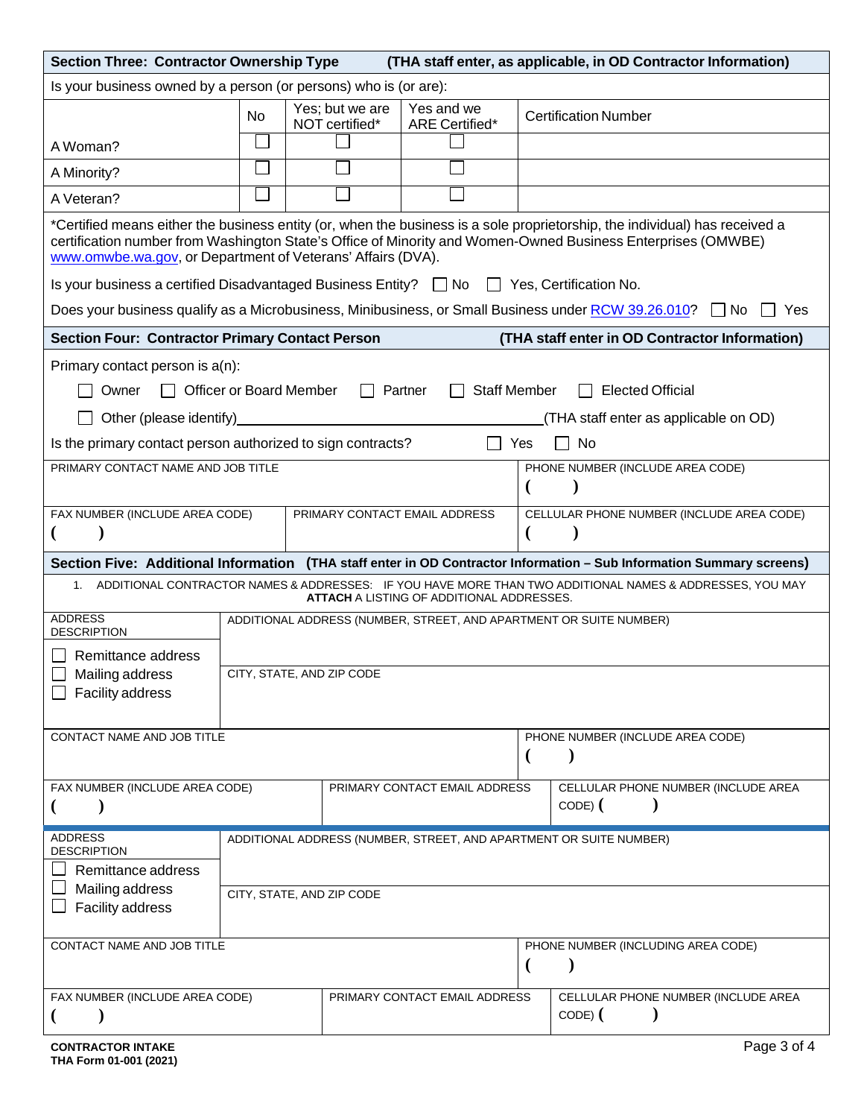| <b>Section Three: Contractor Ownership Type</b><br>(THA staff enter, as applicable, in OD Contractor Information)                                                                                                                                                                                          |                                                                    |                                   |                                                    |                                                                                                                       |  |  |
|------------------------------------------------------------------------------------------------------------------------------------------------------------------------------------------------------------------------------------------------------------------------------------------------------------|--------------------------------------------------------------------|-----------------------------------|----------------------------------------------------|-----------------------------------------------------------------------------------------------------------------------|--|--|
| Is your business owned by a person (or persons) who is (or are):                                                                                                                                                                                                                                           |                                                                    |                                   |                                                    |                                                                                                                       |  |  |
|                                                                                                                                                                                                                                                                                                            | No.                                                                | Yes; but we are<br>NOT certified* | Yes and we<br>ARE Certified*                       | <b>Certification Number</b>                                                                                           |  |  |
| A Woman?                                                                                                                                                                                                                                                                                                   |                                                                    |                                   |                                                    |                                                                                                                       |  |  |
| A Minority?                                                                                                                                                                                                                                                                                                |                                                                    |                                   |                                                    |                                                                                                                       |  |  |
| A Veteran?                                                                                                                                                                                                                                                                                                 |                                                                    |                                   |                                                    |                                                                                                                       |  |  |
| *Certified means either the business entity (or, when the business is a sole proprietorship, the individual) has received a<br>certification number from Washington State's Office of Minority and Women-Owned Business Enterprises (OMWBE)<br>www.omwbe.wa.gov, or Department of Veterans' Affairs (DVA). |                                                                    |                                   |                                                    |                                                                                                                       |  |  |
| Is your business a certified Disadvantaged Business Entity? $\Box$ No $\Box$ Yes, Certification No.                                                                                                                                                                                                        |                                                                    |                                   |                                                    |                                                                                                                       |  |  |
|                                                                                                                                                                                                                                                                                                            |                                                                    |                                   |                                                    | Does your business qualify as a Microbusiness, Minibusiness, or Small Business under RCW 39.26.010? □ No<br>Yes       |  |  |
| <b>Section Four: Contractor Primary Contact Person</b>                                                                                                                                                                                                                                                     |                                                                    |                                   |                                                    | (THA staff enter in OD Contractor Information)                                                                        |  |  |
| Primary contact person is a(n):<br><b>Staff Member</b><br><b>Elected Official</b><br><b>Officer or Board Member</b><br>Partner<br>Owner<br>Other (please identify)<br>(THA staff enter as applicable on OD)                                                                                                |                                                                    |                                   |                                                    |                                                                                                                       |  |  |
|                                                                                                                                                                                                                                                                                                            |                                                                    |                                   | $\Box$                                             | No<br>Yes                                                                                                             |  |  |
| Is the primary contact person authorized to sign contracts?<br>PRIMARY CONTACT NAME AND JOB TITLE                                                                                                                                                                                                          |                                                                    |                                   | PHONE NUMBER (INCLUDE AREA CODE)                   |                                                                                                                       |  |  |
|                                                                                                                                                                                                                                                                                                            |                                                                    |                                   |                                                    |                                                                                                                       |  |  |
| FAX NUMBER (INCLUDE AREA CODE)<br>PRIMARY CONTACT EMAIL ADDRESS                                                                                                                                                                                                                                            |                                                                    |                                   |                                                    | CELLULAR PHONE NUMBER (INCLUDE AREA CODE)                                                                             |  |  |
|                                                                                                                                                                                                                                                                                                            |                                                                    |                                   |                                                    | Section Five: Additional Information (THA staff enter in OD Contractor Information - Sub Information Summary screens) |  |  |
| 1. ADDITIONAL CONTRACTOR NAMES & ADDRESSES: IF YOU HAVE MORE THAN TWO ADDITIONAL NAMES & ADDRESSES, YOU MAY<br><b>ATTACH</b> A LISTING OF ADDITIONAL ADDRESSES.                                                                                                                                            |                                                                    |                                   |                                                    |                                                                                                                       |  |  |
| <b>ADDRESS</b><br><b>DESCRIPTION</b>                                                                                                                                                                                                                                                                       | ADDITIONAL ADDRESS (NUMBER, STREET, AND APARTMENT OR SUITE NUMBER) |                                   |                                                    |                                                                                                                       |  |  |
| Remittance address                                                                                                                                                                                                                                                                                         |                                                                    |                                   |                                                    |                                                                                                                       |  |  |
| Mailing address<br><b>Facility address</b>                                                                                                                                                                                                                                                                 | CITY, STATE, AND ZIP CODE                                          |                                   |                                                    |                                                                                                                       |  |  |
|                                                                                                                                                                                                                                                                                                            |                                                                    |                                   |                                                    |                                                                                                                       |  |  |
| CONTACT NAME AND JOB TITLE                                                                                                                                                                                                                                                                                 |                                                                    |                                   |                                                    | PHONE NUMBER (INCLUDE AREA CODE)                                                                                      |  |  |
| FAX NUMBER (INCLUDE AREA CODE)                                                                                                                                                                                                                                                                             |                                                                    |                                   | PRIMARY CONTACT EMAIL ADDRESS                      | CELLULAR PHONE NUMBER (INCLUDE AREA<br>$CODE)$ $($                                                                    |  |  |
| <b>ADDRESS</b><br>ADDITIONAL ADDRESS (NUMBER, STREET, AND APARTMENT OR SUITE NUMBER)<br><b>DESCRIPTION</b>                                                                                                                                                                                                 |                                                                    |                                   |                                                    |                                                                                                                       |  |  |
| Remittance address                                                                                                                                                                                                                                                                                         |                                                                    |                                   |                                                    |                                                                                                                       |  |  |
| Mailing address<br>Facility address                                                                                                                                                                                                                                                                        | CITY, STATE, AND ZIP CODE                                          |                                   |                                                    |                                                                                                                       |  |  |
| CONTACT NAME AND JOB TITLE<br>PHONE NUMBER (INCLUDING AREA CODE)<br>€                                                                                                                                                                                                                                      |                                                                    |                                   |                                                    |                                                                                                                       |  |  |
| FAX NUMBER (INCLUDE AREA CODE)<br>PRIMARY CONTACT EMAIL ADDRESS                                                                                                                                                                                                                                            |                                                                    |                                   | CELLULAR PHONE NUMBER (INCLUDE AREA<br>$CODE)$ $($ |                                                                                                                       |  |  |
| <b>CONTRACTOR INTAKE</b>                                                                                                                                                                                                                                                                                   |                                                                    |                                   |                                                    | Page 3 of 4                                                                                                           |  |  |